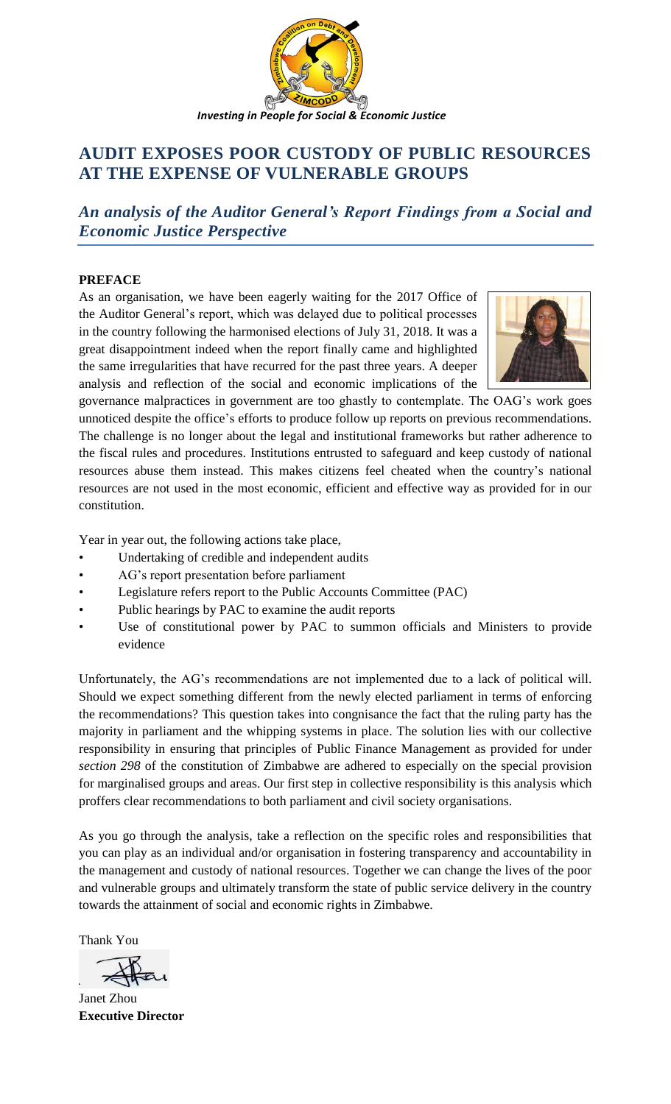

# **AUDIT EXPOSES POOR CUSTODY OF PUBLIC RESOURCES AT THE EXPENSE OF VULNERABLE GROUPS**

*An analysis of the Auditor General's Report Findings from a Social and Economic Justice Perspective*

## **PREFACE**

As an organisation, we have been eagerly waiting for the 2017 Office of the Auditor General's report, which was delayed due to political processes in the country following the harmonised elections of July 31, 2018. It was a great disappointment indeed when the report finally came and highlighted the same irregularities that have recurred for the past three years. A deeper analysis and reflection of the social and economic implications of the



governance malpractices in government are too ghastly to contemplate. The OAG's work goes unnoticed despite the office's efforts to produce follow up reports on previous recommendations. The challenge is no longer about the legal and institutional frameworks but rather adherence to the fiscal rules and procedures. Institutions entrusted to safeguard and keep custody of national resources abuse them instead. This makes citizens feel cheated when the country's national resources are not used in the most economic, efficient and effective way as provided for in our constitution.

Year in year out, the following actions take place,

- Undertaking of credible and independent audits
- AG's report presentation before parliament
- Legislature refers report to the Public Accounts Committee (PAC)
- Public hearings by PAC to examine the audit reports
- Use of constitutional power by PAC to summon officials and Ministers to provide evidence

Unfortunately, the AG's recommendations are not implemented due to a lack of political will. Should we expect something different from the newly elected parliament in terms of enforcing the recommendations? This question takes into congnisance the fact that the ruling party has the majority in parliament and the whipping systems in place. The solution lies with our collective responsibility in ensuring that principles of Public Finance Management as provided for under *section 298* of the constitution of Zimbabwe are adhered to especially on the special provision for marginalised groups and areas. Our first step in collective responsibility is this analysis which proffers clear recommendations to both parliament and civil society organisations.

As you go through the analysis, take a reflection on the specific roles and responsibilities that you can play as an individual and/or organisation in fostering transparency and accountability in the management and custody of national resources. Together we can change the lives of the poor and vulnerable groups and ultimately transform the state of public service delivery in the country towards the attainment of social and economic rights in Zimbabwe.

Thank You

Janet Zhou **Executive Director**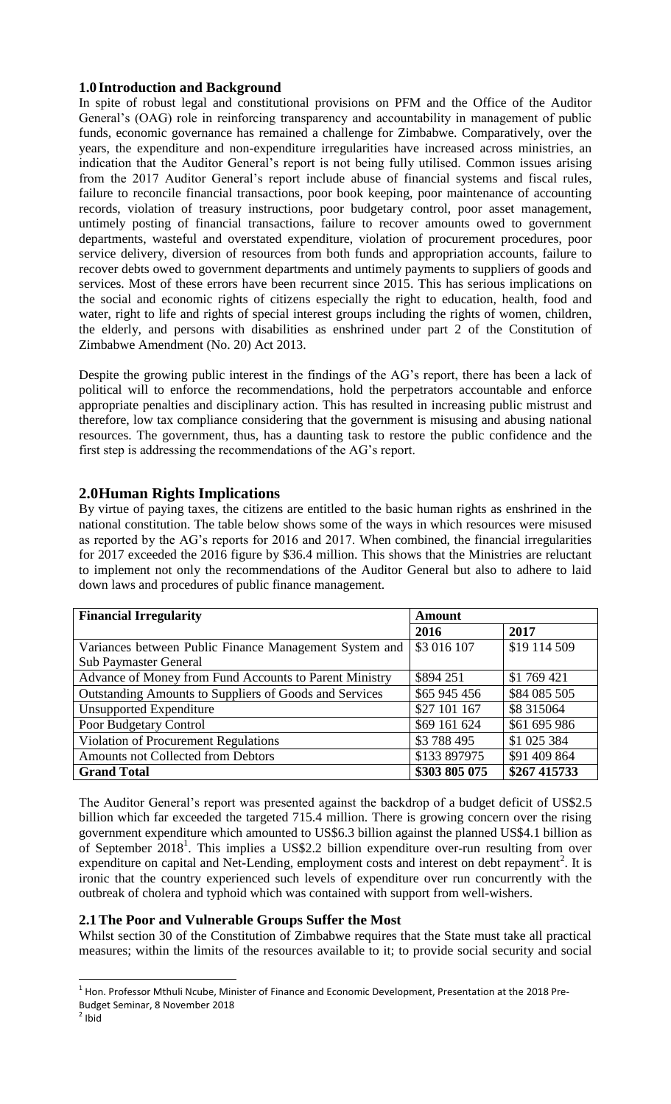## **1.0 Introduction and Background**

In spite of robust legal and constitutional provisions on PFM and the Office of the Auditor General's (OAG) role in reinforcing transparency and accountability in management of public funds, economic governance has remained a challenge for Zimbabwe. Comparatively, over the years, the expenditure and non-expenditure irregularities have increased across ministries, an indication that the Auditor General's report is not being fully utilised. Common issues arising from the 2017 Auditor General's report include abuse of financial systems and fiscal rules, failure to reconcile financial transactions, poor book keeping, poor maintenance of accounting records, violation of treasury instructions, poor budgetary control, poor asset management, untimely posting of financial transactions, failure to recover amounts owed to government departments, wasteful and overstated expenditure, violation of procurement procedures, poor service delivery, diversion of resources from both funds and appropriation accounts, failure to recover debts owed to government departments and untimely payments to suppliers of goods and services. Most of these errors have been recurrent since 2015. This has serious implications on the social and economic rights of citizens especially the right to education, health, food and water, right to life and rights of special interest groups including the rights of women, children, the elderly, and persons with disabilities as enshrined under part 2 of the Constitution of Zimbabwe Amendment (No. 20) Act 2013.

Despite the growing public interest in the findings of the AG's report, there has been a lack of political will to enforce the recommendations, hold the perpetrators accountable and enforce appropriate penalties and disciplinary action. This has resulted in increasing public mistrust and therefore, low tax compliance considering that the government is misusing and abusing national resources. The government, thus, has a daunting task to restore the public confidence and the first step is addressing the recommendations of the AG's report.

## **2.0Human Rights Implications**

By virtue of paying taxes, the citizens are entitled to the basic human rights as enshrined in the national constitution. The table below shows some of the ways in which resources were misused as reported by the AG's reports for 2016 and 2017. When combined, the financial irregularities for 2017 exceeded the 2016 figure by \$36.4 million. This shows that the Ministries are reluctant to implement not only the recommendations of the Auditor General but also to adhere to laid down laws and procedures of public finance management.

| <b>Financial Irregularity</b><br><b>Amount</b>         |               |              |
|--------------------------------------------------------|---------------|--------------|
|                                                        | 2016          | 2017         |
| Variances between Public Finance Management System and | \$3 016 107   | \$19 114 509 |
| <b>Sub Paymaster General</b>                           |               |              |
| Advance of Money from Fund Accounts to Parent Ministry | \$894 251     | \$1 769 421  |
| Outstanding Amounts to Suppliers of Goods and Services | \$65 945 456  | \$84 085 505 |
| <b>Unsupported Expenditure</b>                         | \$27 101 167  | \$8 315064   |
| Poor Budgetary Control                                 | \$69 161 624  | \$61 695 986 |
| Violation of Procurement Regulations                   | \$3788495     | \$1 025 384  |
| Amounts not Collected from Debtors                     | \$133 897975  | \$91 409 864 |
| <b>Grand Total</b>                                     | \$303 805 075 | \$267 415733 |

The Auditor General's report was presented against the backdrop of a budget deficit of US\$2.5 billion which far exceeded the targeted 715.4 million. There is growing concern over the rising government expenditure which amounted to US\$6.3 billion against the planned US\$4.1 billion as of September 2018<sup>1</sup>. This implies a US\$2.2 billion expenditure over-run resulting from over expenditure on capital and Net-Lending, employment costs and interest on debt repayment<sup>2</sup>. It is ironic that the country experienced such levels of expenditure over run concurrently with the outbreak of cholera and typhoid which was contained with support from well-wishers.

### **2.1The Poor and Vulnerable Groups Suffer the Most**

Whilst section 30 of the Constitution of Zimbabwe requires that the State must take all practical measures; within the limits of the resources available to it; to provide social security and social

 $\overline{\phantom{a}}$ 

<sup>&</sup>lt;sup>1</sup> Hon. Professor Mthuli Ncube, Minister of Finance and Economic Development, Presentation at the 2018 Pre-

Budget Seminar, 8 November 2018

 $2$  Ibid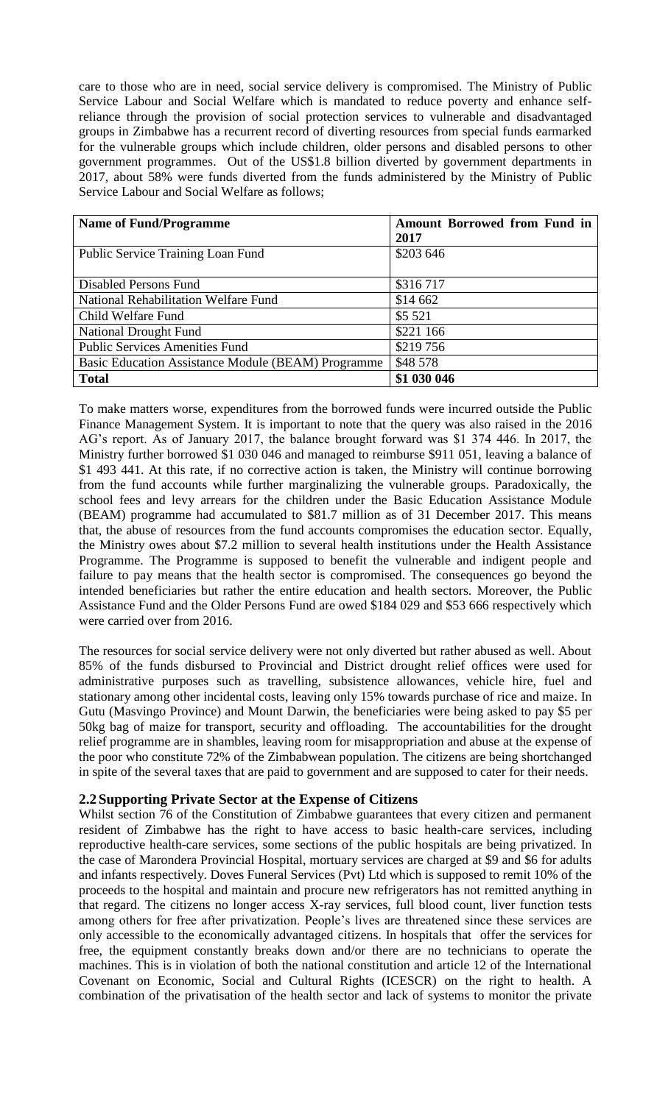care to those who are in need, social service delivery is compromised. The Ministry of Public Service Labour and Social Welfare which is mandated to reduce poverty and enhance selfreliance through the provision of social protection services to vulnerable and disadvantaged groups in Zimbabwe has a recurrent record of diverting resources from special funds earmarked for the vulnerable groups which include children, older persons and disabled persons to other government programmes. Out of the US\$1.8 billion diverted by government departments in 2017, about 58% were funds diverted from the funds administered by the Ministry of Public Service Labour and Social Welfare as follows;

| <b>Name of Fund/Programme</b>                             | <b>Amount Borrowed from Fund in</b> |
|-----------------------------------------------------------|-------------------------------------|
|                                                           | 2017                                |
| Public Service Training Loan Fund                         | \$203 646                           |
|                                                           |                                     |
| Disabled Persons Fund                                     | \$316717                            |
| National Rehabilitation Welfare Fund                      | \$14 662                            |
| Child Welfare Fund                                        | \$5 5 21                            |
| <b>National Drought Fund</b>                              | \$221 166                           |
| <b>Public Services Amenities Fund</b>                     | \$219756                            |
| <b>Basic Education Assistance Module (BEAM) Programme</b> | \$48 578                            |
| <b>Total</b>                                              | \$1 030 046                         |

To make matters worse, expenditures from the borrowed funds were incurred outside the Public Finance Management System. It is important to note that the query was also raised in the 2016 AG's report. As of January 2017, the balance brought forward was \$1 374 446. In 2017, the Ministry further borrowed \$1 030 046 and managed to reimburse \$911 051, leaving a balance of \$1 493 441. At this rate, if no corrective action is taken, the Ministry will continue borrowing from the fund accounts while further marginalizing the vulnerable groups. Paradoxically, the school fees and levy arrears for the children under the Basic Education Assistance Module (BEAM) programme had accumulated to \$81.7 million as of 31 December 2017. This means that, the abuse of resources from the fund accounts compromises the education sector. Equally, the Ministry owes about \$7.2 million to several health institutions under the Health Assistance Programme. The Programme is supposed to benefit the vulnerable and indigent people and failure to pay means that the health sector is compromised. The consequences go beyond the intended beneficiaries but rather the entire education and health sectors. Moreover, the Public Assistance Fund and the Older Persons Fund are owed \$184 029 and \$53 666 respectively which were carried over from 2016.

The resources for social service delivery were not only diverted but rather abused as well. About 85% of the funds disbursed to Provincial and District drought relief offices were used for administrative purposes such as travelling, subsistence allowances, vehicle hire, fuel and stationary among other incidental costs, leaving only 15% towards purchase of rice and maize. In Gutu (Masvingo Province) and Mount Darwin, the beneficiaries were being asked to pay \$5 per 50kg bag of maize for transport, security and offloading. The accountabilities for the drought relief programme are in shambles, leaving room for misappropriation and abuse at the expense of the poor who constitute 72% of the Zimbabwean population. The citizens are being shortchanged in spite of the several taxes that are paid to government and are supposed to cater for their needs.

### **2.2Supporting Private Sector at the Expense of Citizens**

Whilst section 76 of the Constitution of Zimbabwe guarantees that every citizen and permanent resident of Zimbabwe has the right to have access to basic health-care services, including reproductive health-care services, some sections of the public hospitals are being privatized. In the case of Marondera Provincial Hospital, mortuary services are charged at \$9 and \$6 for adults and infants respectively. Doves Funeral Services (Pvt) Ltd which is supposed to remit 10% of the proceeds to the hospital and maintain and procure new refrigerators has not remitted anything in that regard. The citizens no longer access X-ray services, full blood count, liver function tests among others for free after privatization. People's lives are threatened since these services are only accessible to the economically advantaged citizens. In hospitals that offer the services for free, the equipment constantly breaks down and/or there are no technicians to operate the machines. This is in violation of both the national constitution and article 12 of the International Covenant on Economic, Social and Cultural Rights (ICESCR) on the right to health. A combination of the privatisation of the health sector and lack of systems to monitor the private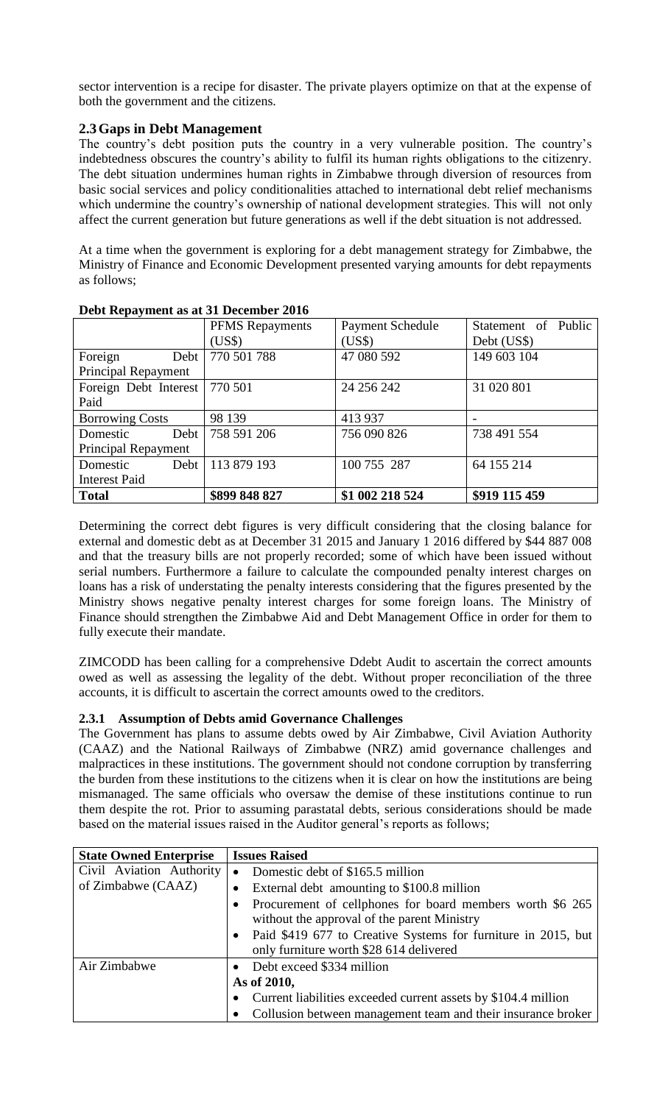sector intervention is a recipe for disaster. The private players optimize on that at the expense of both the government and the citizens.

## **2.3Gaps in Debt Management**

The country's debt position puts the country in a very vulnerable position. The country's indebtedness obscures the country's ability to fulfil its human rights obligations to the citizenry. The debt situation undermines human rights in Zimbabwe through diversion of resources from basic social services and policy conditionalities attached to international debt relief mechanisms which undermine the country's ownership of national development strategies. This will not only affect the current generation but future generations as well if the debt situation is not addressed.

At a time when the government is exploring for a debt management strategy for Zimbabwe, the Ministry of Finance and Economic Development presented varying amounts for debt repayments as follows;

| $\cdots$               | <b>PFMS</b> Repayments | <b>Payment Schedule</b> | Statement of Public |
|------------------------|------------------------|-------------------------|---------------------|
|                        | (US\$)                 | (US\$)                  | Debt (US\$)         |
| Foreign<br>Debt        | 770 501 788            | 47 080 592              | 149 603 104         |
| Principal Repayment    |                        |                         |                     |
| Foreign Debt Interest  | 770 501                | 24 25 6 24 2            | 31 020 801          |
| Paid                   |                        |                         |                     |
| <b>Borrowing Costs</b> | 98 139                 | 413 937                 |                     |
| Debt<br>Domestic       | 758 591 206            | 756 090 826             | 738 491 554         |
| Principal Repayment    |                        |                         |                     |
| Debt<br>Domestic       | 113 879 193            | 100 755 287             | 64 155 214          |
| <b>Interest Paid</b>   |                        |                         |                     |
| <b>Total</b>           | \$899 848 827          | \$1 002 218 524         | \$919 115 459       |

### **Debt Repayment as at 31 December 2016**

Determining the correct debt figures is very difficult considering that the closing balance for external and domestic debt as at December 31 2015 and January 1 2016 differed by \$44 887 008 and that the treasury bills are not properly recorded; some of which have been issued without serial numbers. Furthermore a failure to calculate the compounded penalty interest charges on loans has a risk of understating the penalty interests considering that the figures presented by the Ministry shows negative penalty interest charges for some foreign loans. The Ministry of Finance should strengthen the Zimbabwe Aid and Debt Management Office in order for them to fully execute their mandate.

ZIMCODD has been calling for a comprehensive Ddebt Audit to ascertain the correct amounts owed as well as assessing the legality of the debt. Without proper reconciliation of the three accounts, it is difficult to ascertain the correct amounts owed to the creditors.

## **2.3.1 Assumption of Debts amid Governance Challenges**

The Government has plans to assume debts owed by Air Zimbabwe, Civil Aviation Authority (CAAZ) and the National Railways of Zimbabwe (NRZ) amid governance challenges and malpractices in these institutions. The government should not condone corruption by transferring the burden from these institutions to the citizens when it is clear on how the institutions are being mismanaged. The same officials who oversaw the demise of these institutions continue to run them despite the rot. Prior to assuming parastatal debts, serious considerations should be made based on the material issues raised in the Auditor general's reports as follows;

| <b>State Owned Enterprise</b> |           | <b>Issues Raised</b>                                                                                     |
|-------------------------------|-----------|----------------------------------------------------------------------------------------------------------|
| Civil Aviation Authority      | $\bullet$ | Domestic debt of \$165.5 million                                                                         |
| of Zimbabwe (CAAZ)            |           | External debt amounting to \$100.8 million                                                               |
|                               |           | Procurement of cellphones for board members worth \$6 265<br>without the approval of the parent Ministry |
|                               |           | Paid \$419 677 to Creative Systems for furniture in 2015, but                                            |
|                               |           | only furniture worth \$28 614 delivered                                                                  |
| Air Zimbabwe                  |           | • Debt exceed \$334 million                                                                              |
|                               |           | As of 2010,                                                                                              |
|                               |           | Current liabilities exceeded current assets by \$104.4 million                                           |
|                               |           | Collusion between management team and their insurance broker                                             |